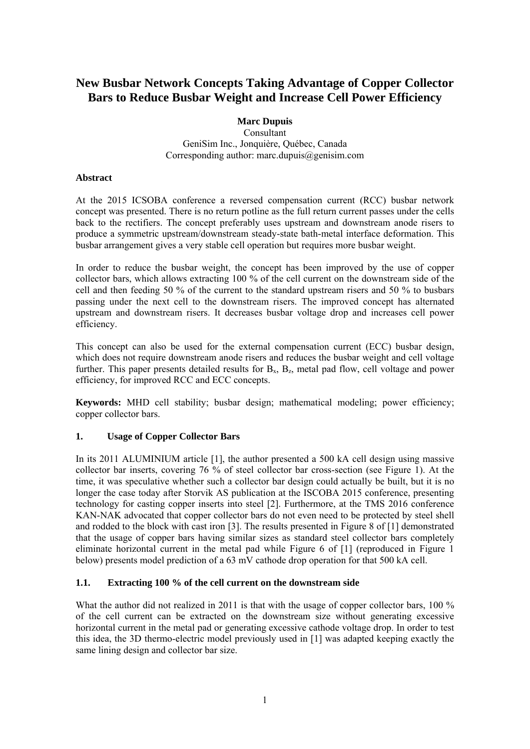# **New Busbar Network Concepts Taking Advantage of Copper Collector Bars to Reduce Busbar Weight and Increase Cell Power Efficiency**

## **Marc Dupuis**

Consultant GeniSim Inc., Jonquière, Québec, Canada Corresponding author: marc.dupuis@genisim.com

## **Abstract**

At the 2015 ICSOBA conference a reversed compensation current (RCC) busbar network concept was presented. There is no return potline as the full return current passes under the cells back to the rectifiers. The concept preferably uses upstream and downstream anode risers to produce a symmetric upstream/downstream steady-state bath-metal interface deformation. This busbar arrangement gives a very stable cell operation but requires more busbar weight.

In order to reduce the busbar weight, the concept has been improved by the use of copper collector bars, which allows extracting 100 % of the cell current on the downstream side of the cell and then feeding 50 % of the current to the standard upstream risers and 50 % to busbars passing under the next cell to the downstream risers. The improved concept has alternated upstream and downstream risers. It decreases busbar voltage drop and increases cell power efficiency.

This concept can also be used for the external compensation current (ECC) busbar design, which does not require downstream anode risers and reduces the busbar weight and cell voltage further. This paper presents detailed results for  $B_x$ ,  $B_z$ , metal pad flow, cell voltage and power efficiency, for improved RCC and ECC concepts.

**Keywords:** MHD cell stability; busbar design; mathematical modeling; power efficiency; copper collector bars.

# **1. Usage of Copper Collector Bars**

In its 2011 ALUMINIUM article [1], the author presented a 500 kA cell design using massive collector bar inserts, covering 76 % of steel collector bar cross-section (see Figure 1). At the time, it was speculative whether such a collector bar design could actually be built, but it is no longer the case today after Storvik AS publication at the ISCOBA 2015 conference, presenting technology for casting copper inserts into steel [2]. Furthermore, at the TMS 2016 conference KAN-NAK advocated that copper collector bars do not even need to be protected by steel shell and rodded to the block with cast iron [3]. The results presented in Figure 8 of [1] demonstrated that the usage of copper bars having similar sizes as standard steel collector bars completely eliminate horizontal current in the metal pad while Figure 6 of [1] (reproduced in Figure 1 below) presents model prediction of a 63 mV cathode drop operation for that 500 kA cell.

# **1.1. Extracting 100 % of the cell current on the downstream side**

What the author did not realized in 2011 is that with the usage of copper collector bars, 100 % of the cell current can be extracted on the downstream size without generating excessive horizontal current in the metal pad or generating excessive cathode voltage drop. In order to test this idea, the 3D thermo-electric model previously used in [1] was adapted keeping exactly the same lining design and collector bar size.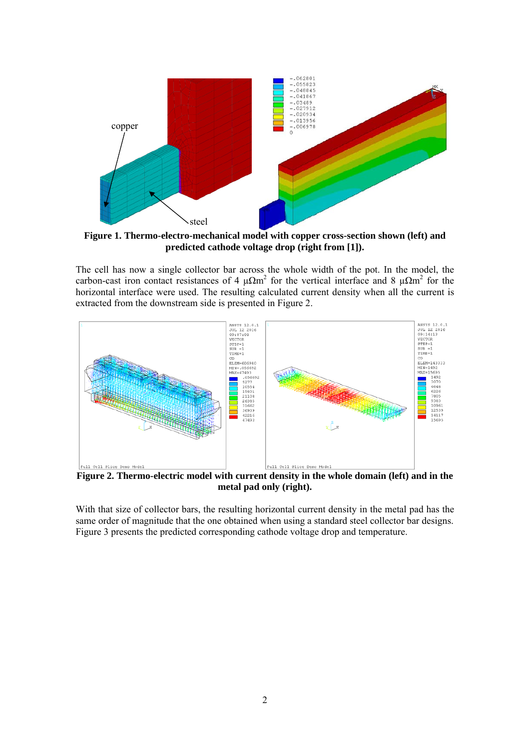

**Figure 1. Thermo-electro-mechanical model with copper cross-section shown (left) and predicted cathode voltage drop (right from [1]).** 

The cell has now a single collector bar across the whole width of the pot. In the model, the carbon-cast iron contact resistances of 4  $\mu\Omega$ m<sup>2</sup> for the vertical interface and 8  $\mu\Omega$ m<sup>2</sup> for the horizontal interface were used. The resulting calculated current density when all the current is extracted from the downstream side is presented in Figure 2.



**Figure 2. Thermo-electric model with current density in the whole domain (left) and in the metal pad only (right).** 

With that size of collector bars, the resulting horizontal current density in the metal pad has the same order of magnitude that the one obtained when using a standard steel collector bar designs. Figure 3 presents the predicted corresponding cathode voltage drop and temperature.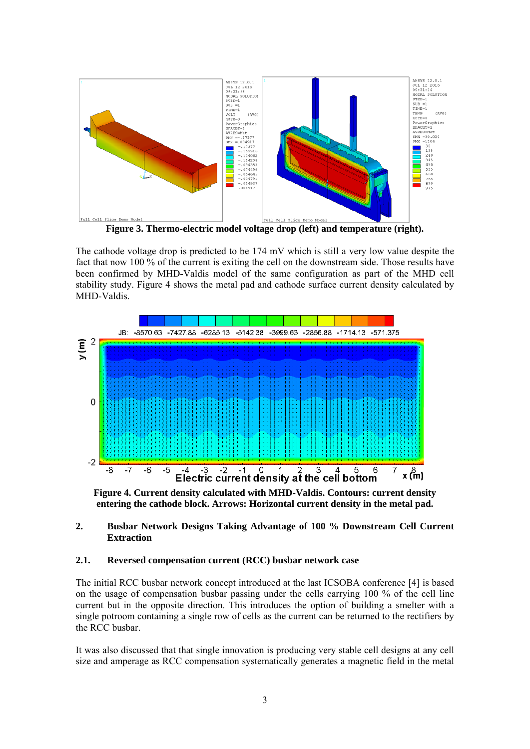

**Figure 3. Thermo-electric model voltage drop (left) and temperature (right).** 

The cathode voltage drop is predicted to be 174 mV which is still a very low value despite the fact that now 100 % of the current is exiting the cell on the downstream side. Those results have been confirmed by MHD-Valdis model of the same configuration as part of the MHD cell stability study. Figure 4 shows the metal pad and cathode surface current density calculated by MHD-Valdis.



**Figure 4. Current density calculated with MHD-Valdis. Contours: current density entering the cathode block. Arrows: Horizontal current density in the metal pad.** 

#### **2. Busbar Network Designs Taking Advantage of 100 % Downstream Cell Current Extraction**

## **2.1. Reversed compensation current (RCC) busbar network case**

The initial RCC busbar network concept introduced at the last ICSOBA conference [4] is based on the usage of compensation busbar passing under the cells carrying 100 % of the cell line current but in the opposite direction. This introduces the option of building a smelter with a single potroom containing a single row of cells as the current can be returned to the rectifiers by the RCC busbar.

It was also discussed that that single innovation is producing very stable cell designs at any cell size and amperage as RCC compensation systematically generates a magnetic field in the metal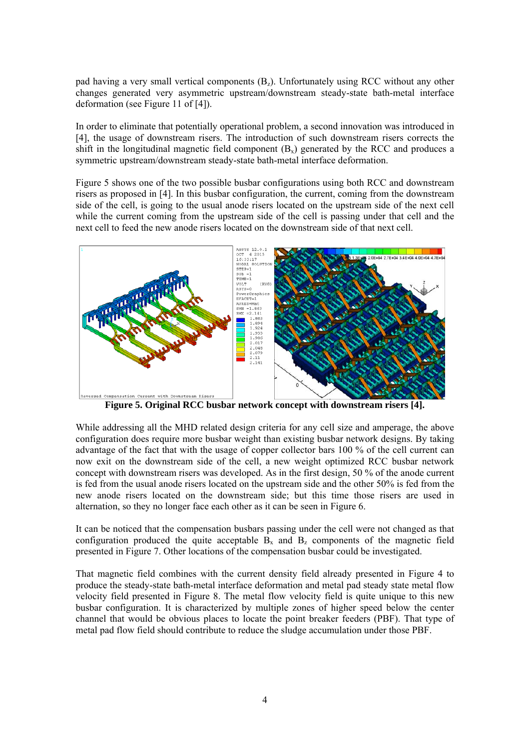pad having a very small vertical components  $(B_z)$ . Unfortunately using RCC without any other changes generated very asymmetric upstream/downstream steady-state bath-metal interface deformation (see Figure 11 of [4]).

In order to eliminate that potentially operational problem, a second innovation was introduced in [4], the usage of downstream risers. The introduction of such downstream risers corrects the shift in the longitudinal magnetic field component  $(B_x)$  generated by the RCC and produces a symmetric upstream/downstream steady-state bath-metal interface deformation.

Figure 5 shows one of the two possible busbar configurations using both RCC and downstream risers as proposed in [4]. In this busbar configuration, the current, coming from the downstream side of the cell, is going to the usual anode risers located on the upstream side of the next cell while the current coming from the upstream side of the cell is passing under that cell and the next cell to feed the new anode risers located on the downstream side of that next cell.



**Figure 5. Original RCC busbar network concept with downstream risers [4].** 

While addressing all the MHD related design criteria for any cell size and amperage, the above configuration does require more busbar weight than existing busbar network designs. By taking advantage of the fact that with the usage of copper collector bars 100 % of the cell current can now exit on the downstream side of the cell, a new weight optimized RCC busbar network concept with downstream risers was developed. As in the first design, 50 % of the anode current is fed from the usual anode risers located on the upstream side and the other 50% is fed from the new anode risers located on the downstream side; but this time those risers are used in alternation, so they no longer face each other as it can be seen in Figure 6.

It can be noticed that the compensation busbars passing under the cell were not changed as that configuration produced the quite acceptable  $B_x$  and  $B_z$  components of the magnetic field presented in Figure 7. Other locations of the compensation busbar could be investigated.

That magnetic field combines with the current density field already presented in Figure 4 to produce the steady-state bath-metal interface deformation and metal pad steady state metal flow velocity field presented in Figure 8. The metal flow velocity field is quite unique to this new busbar configuration. It is characterized by multiple zones of higher speed below the center channel that would be obvious places to locate the point breaker feeders (PBF). That type of metal pad flow field should contribute to reduce the sludge accumulation under those PBF.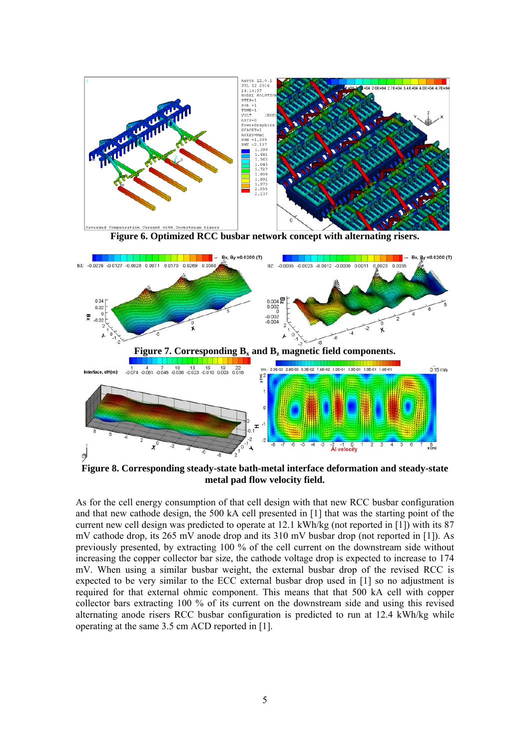

**Figure 8. Corresponding steady-state bath-metal interface deformation and steady-state metal pad flow velocity field.** 

As for the cell energy consumption of that cell design with that new RCC busbar configuration and that new cathode design, the 500 kA cell presented in [1] that was the starting point of the current new cell design was predicted to operate at 12.1 kWh/kg (not reported in [1]) with its 87 mV cathode drop, its 265 mV anode drop and its 310 mV busbar drop (not reported in [1]). As previously presented, by extracting 100 % of the cell current on the downstream side without increasing the copper collector bar size, the cathode voltage drop is expected to increase to 174 mV. When using a similar busbar weight, the external busbar drop of the revised RCC is expected to be very similar to the ECC external busbar drop used in [1] so no adjustment is required for that external ohmic component. This means that that 500 kA cell with copper collector bars extracting 100 % of its current on the downstream side and using this revised alternating anode risers RCC busbar configuration is predicted to run at 12.4 kWh/kg while operating at the same 3.5 cm ACD reported in [1].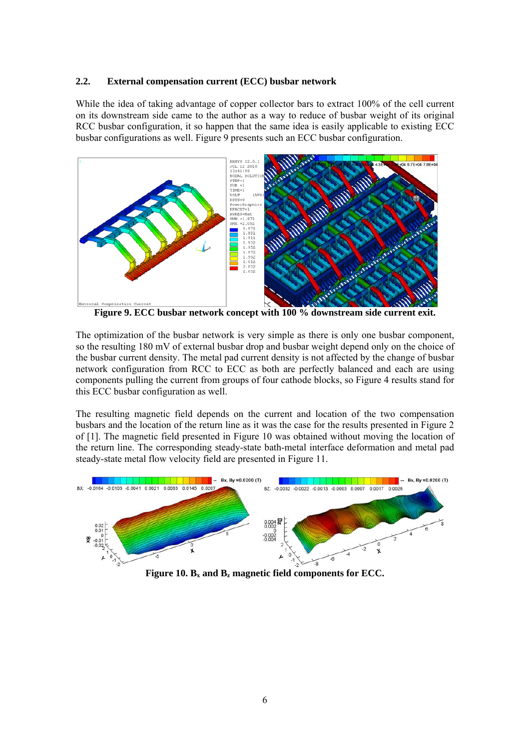#### **2.2. External compensation current (ECC) busbar network**

While the idea of taking advantage of copper collector bars to extract 100% of the cell current on its downstream side came to the author as a way to reduce of busbar weight of its original RCC busbar configuration, it so happen that the same idea is easily applicable to existing ECC busbar configurations as well. Figure 9 presents such an ECC busbar configuration.



**Figure 9. ECC busbar network concept with 100 % downstream side current exit.** 

The optimization of the busbar network is very simple as there is only one busbar component, so the resulting 180 mV of external busbar drop and busbar weight depend only on the choice of the busbar current density. The metal pad current density is not affected by the change of busbar network configuration from RCC to ECC as both are perfectly balanced and each are using components pulling the current from groups of four cathode blocks, so Figure 4 results stand for this ECC busbar configuration as well.

The resulting magnetic field depends on the current and location of the two compensation busbars and the location of the return line as it was the case for the results presented in Figure 2 of [1]. The magnetic field presented in Figure 10 was obtained without moving the location of the return line. The corresponding steady-state bath-metal interface deformation and metal pad steady-state metal flow velocity field are presented in Figure 11.



**Figure 10.**  $B_x$  and  $B_z$  magnetic field components for ECC.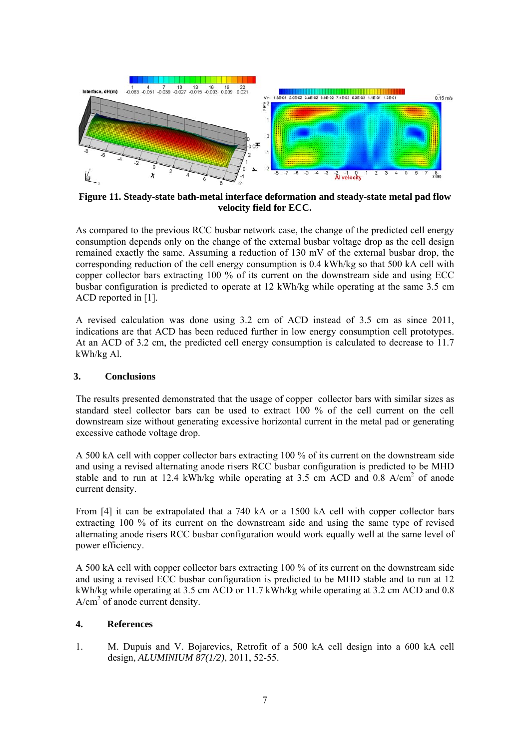

**Figure 11. Steady-state bath-metal interface deformation and steady-state metal pad flow velocity field for ECC.** 

As compared to the previous RCC busbar network case, the change of the predicted cell energy consumption depends only on the change of the external busbar voltage drop as the cell design remained exactly the same. Assuming a reduction of 130 mV of the external busbar drop, the corresponding reduction of the cell energy consumption is 0.4 kWh/kg so that 500 kA cell with copper collector bars extracting 100 % of its current on the downstream side and using ECC busbar configuration is predicted to operate at 12 kWh/kg while operating at the same 3.5 cm ACD reported in [1].

A revised calculation was done using 3.2 cm of ACD instead of 3.5 cm as since 2011, indications are that ACD has been reduced further in low energy consumption cell prototypes. At an ACD of 3.2 cm, the predicted cell energy consumption is calculated to decrease to 11.7 kWh/kg Al.

## **3. Conclusions**

The results presented demonstrated that the usage of copper collector bars with similar sizes as standard steel collector bars can be used to extract 100 % of the cell current on the cell downstream size without generating excessive horizontal current in the metal pad or generating excessive cathode voltage drop.

A 500 kA cell with copper collector bars extracting 100 % of its current on the downstream side and using a revised alternating anode risers RCC busbar configuration is predicted to be MHD stable and to run at 12.4 kWh/kg while operating at 3.5 cm ACD and  $0.8$  A/cm<sup>2</sup> of anode current density.

From [4] it can be extrapolated that a 740 kA or a 1500 kA cell with copper collector bars extracting 100 % of its current on the downstream side and using the same type of revised alternating anode risers RCC busbar configuration would work equally well at the same level of power efficiency.

A 500 kA cell with copper collector bars extracting 100 % of its current on the downstream side and using a revised ECC busbar configuration is predicted to be MHD stable and to run at 12 kWh/kg while operating at 3.5 cm ACD or 11.7 kWh/kg while operating at 3.2 cm ACD and 0.8  $A/cm<sup>2</sup>$  of anode current density.

# **4. References**

1. M. Dupuis and V. Bojarevics, Retrofit of a 500 kA cell design into a 600 kA cell design, *ALUMINIUM 87(1/2)*, 2011, 52-55.